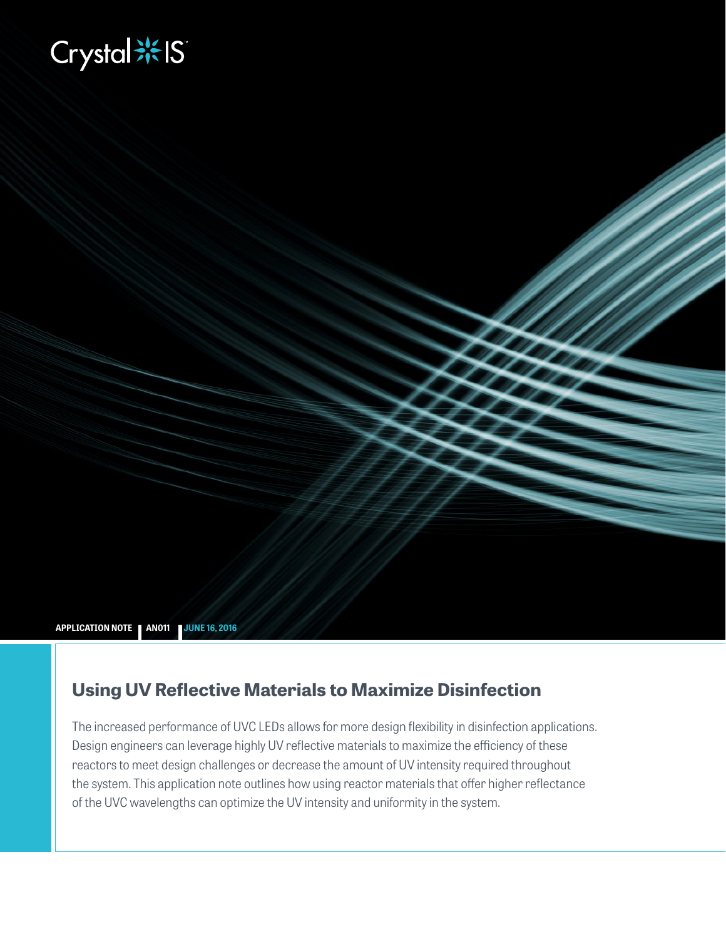# **Biography**

**APPLICATION NOTE AN011 JUNE 16, 2016**

# **Using UV Reflective Materials to Maximize Disinfection**

The increased performance of UVC LEDs allows for more design flexibility in disinfection applications. Design engineers can leverage highly UV reflective materials to maximize the efficiency of these reactors to meet design challenges or decrease the amount of UV intensity required throughout the system. This application note outlines how using reactor materials that offer higher reflectance of the UVC wavelengths can optimize the UV intensity and uniformity in the system.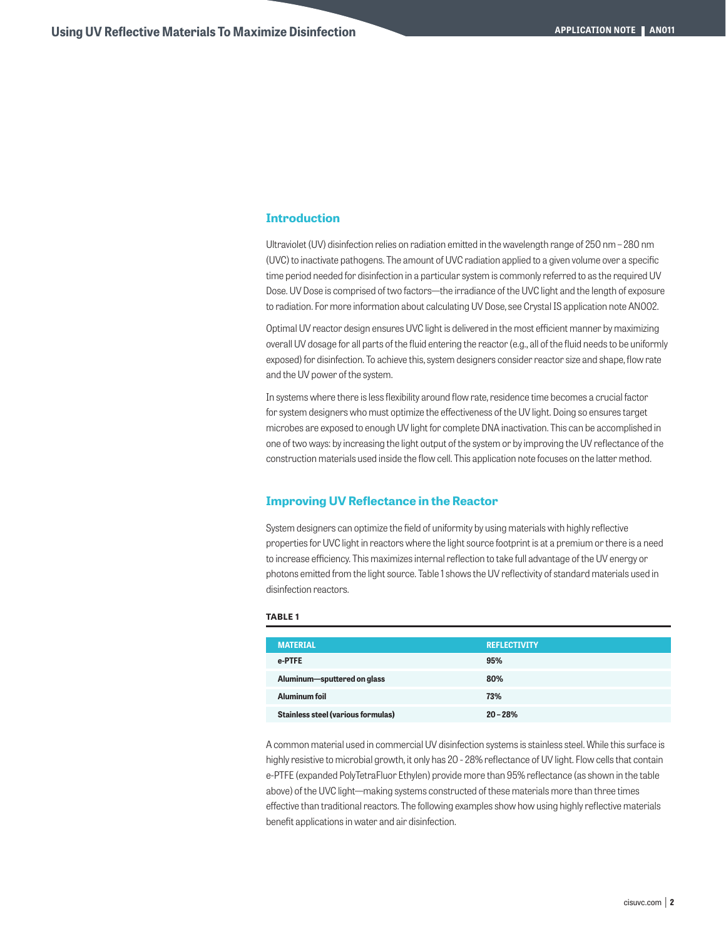# **Introduction**

Ultraviolet (UV) disinfection relies on radiation emitted in the wavelength range of 250 nm – 280 nm (UVC) to inactivate pathogens. The amount of UVC radiation applied to a given volume over a specific time period needed for disinfection in a particular system is commonly referred to as the required UV Dose. UV Dose is comprised of two factors—the irradiance of the UVC light and the length of exposure to radiation. For more information about calculating UV Dose, see Crystal IS application note AN002.

Optimal UV reactor design ensures UVC light is delivered in the most efficient manner by maximizing overall UV dosage for all parts of the fluid entering the reactor (e.g., all of the fluid needs to be uniformly exposed) for disinfection. To achieve this, system designers consider reactor size and shape, flow rate and the UV power of the system.

In systems where there is less flexibility around flow rate, residence time becomes a crucial factor for system designers who must optimize the effectiveness of the UV light. Doing so ensures target microbes are exposed to enough UV light for complete DNA inactivation. This can be accomplished in one of two ways: by increasing the light output of the system or by improving the UV reflectance of the construction materials used inside the flow cell. This application note focuses on the latter method.

# **Improving UV Reflectance in the Reactor**

System designers can optimize the field of uniformity by using materials with highly reflective properties for UVC light in reactors where the light source footprint is at a premium or there is a need to increase efficiency. This maximizes internal reflection to take full advantage of the UV energy or photons emitted from the light source. Table 1 shows the UV reflectivity of standard materials used in disinfection reactors.

#### **TABLE 1**

| <b>MATERIAL</b>                    | <b>REFLECTIVITY</b> |
|------------------------------------|---------------------|
| e-PTFE                             | 95%                 |
| Aluminum-sputtered on glass        | 80%                 |
| Aluminum foil                      | 73%                 |
| Stainless steel (various formulas) | $20 - 28%$          |

A common material used in commercial UV disinfection systems is stainless steel. While this surface is highly resistive to microbial growth, it only has 20 - 28% reflectance of UV light. Flow cells that contain e-PTFE (expanded PolyTetraFluor Ethylen) provide more than 95% reflectance (as shown in the table above) of the UVC light—making systems constructed of these materials more than three times effective than traditional reactors. The following examples show how using highly reflective materials benefit applications in water and air disinfection.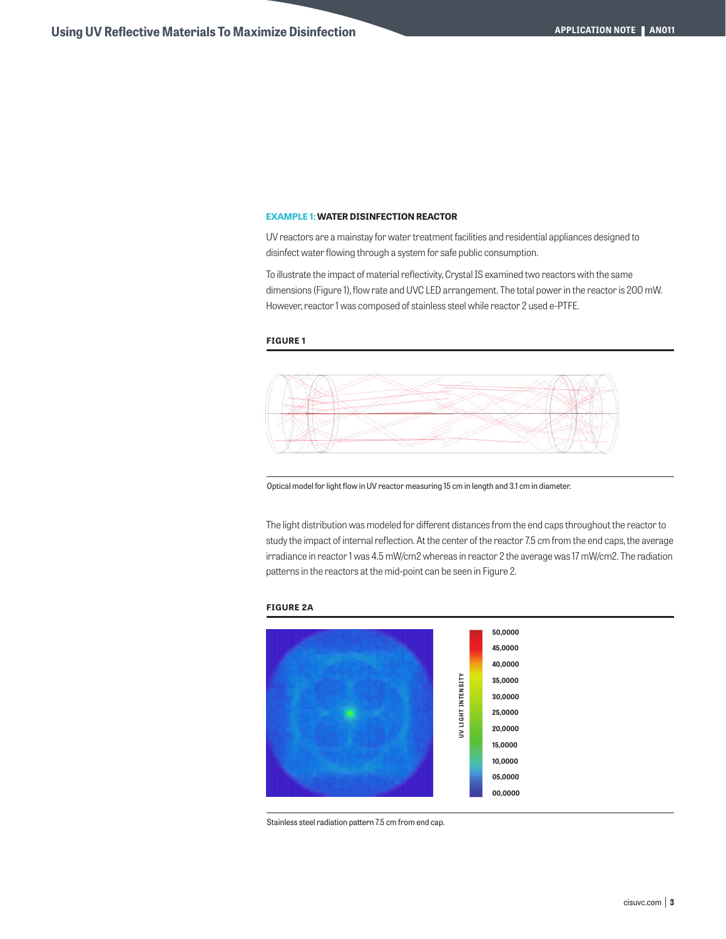# **EXAMPLE 1: WATER DISINFECTION REACTOR**

UV reactors are a mainstay for water treatment facilities and residential appliances designed to disinfect water flowing through a system for safe public consumption.

To illustrate the impact of material reflectivity, Crystal IS examined two reactors with the same dimensions (Figure 1), flow rate and UVC LED arrangement. The total power in the reactor is 200 mW. However, reactor 1 was composed of stainless steel while reactor 2 used e-PTFE.

#### **FIGURE 1**



Optical model for light flow in UV reactor measuring 15 cm in length and 3.1 cm in diameter.

The light distribution was modeled for different distances from the end caps throughout the reactor to study the impact of internal reflection. At the center of the reactor 7.5 cm from the end caps, the average irradiance in reactor 1 was 4.5 mW/cm2 whereas in reactor 2 the average was 17 mW/cm2. The radiation patterns in the reactors at the mid-point can be seen in Figure 2.

#### **FIGURE 2A**



Stainless steel radiation pattern 7.5 cm from end cap.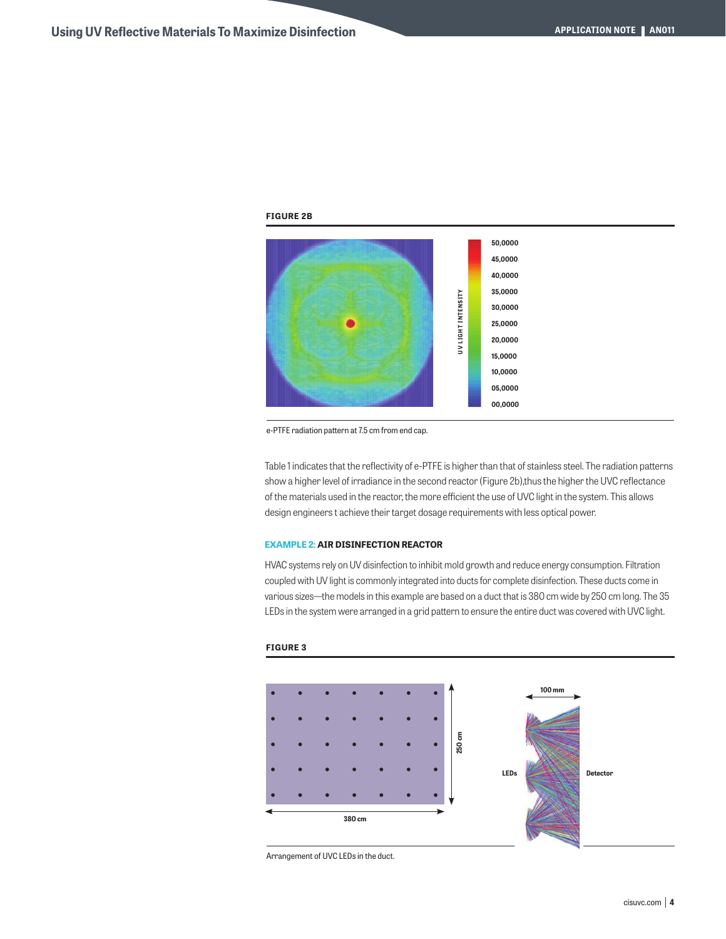## **FIGURE 2B**



e-PTFE radiation pattern at 7.5 cm from end cap.

Table 1 indicates that the reflectivity of e-PTFE is higher than that of stainless steel. The radiation patterns show a higher level of irradiance in the second reactor (Figure 2b),thus the higher the UVC reflectance of the materials used in the reactor, the more efficient the use of UVC light in the system. This allows design engineers t achieve their target dosage requirements with less optical power.

#### **EXAMPLE 2: AIR DISINFECTION REACTOR**

HVAC systems rely on UV disinfection to inhibit mold growth and reduce energy consumption. Filtration coupled with UV light is commonly integrated into ducts for complete disinfection. These ducts come in various sizes—the models in this example are based on a duct that is 380 cm wide by 250 cm long. The 35 LEDs in the system were arranged in a grid pattern to ensure the entire duct was covered with UVC light.

#### **FIGURE 3**



Arrangement of UVC LEDs in the duct.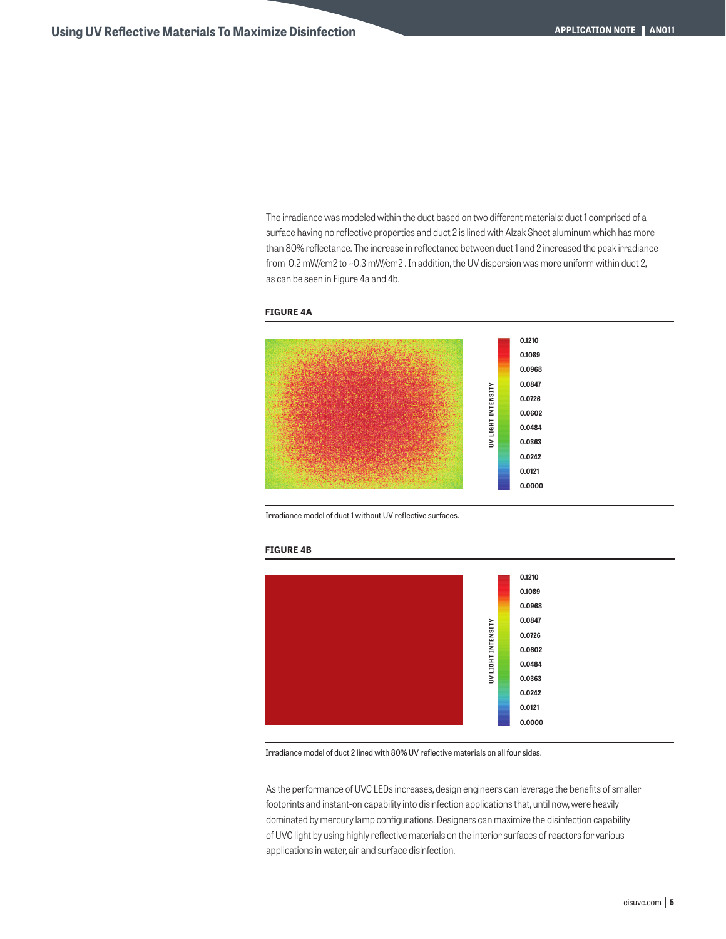The irradiance was modeled within the duct based on two different materials: duct 1 comprised of a surface having no reflective properties and duct 2 is lined with Alzak Sheet aluminum which has more than 80% reflectance. The increase in reflectance between duct 1 and 2 increased the peak irradiance from 0.2 mW/cm2 to ~0.3 mW/cm2 . In addition, the UV dispersion was more uniform within duct 2, as can be seen in Figure 4a and 4b.





Irradiance model of duct 1 without UV reflective surfaces.

#### **FIGURE 4B**



Irradiance model of duct 2 lined with 80% UV reflective materials on all four sides.

As the performance of UVC LEDs increases, design engineers can leverage the benefits of smaller footprints and instant-on capability into disinfection applications that, until now, were heavily dominated by mercury lamp configurations. Designers can maximize the disinfection capability of UVC light by using highly reflective materials on the interior surfaces of reactors for various applications in water, air and surface disinfection.